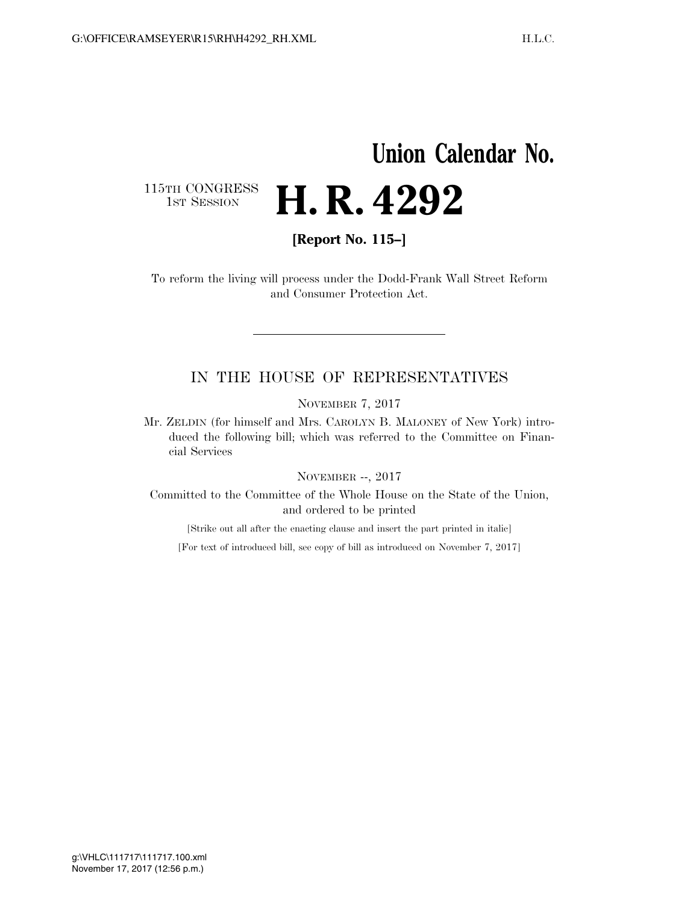## **Union Calendar No.**

115TH CONGRESS<br>1st Session

**[Report No. 115–]** 

H. R. 4292

To reform the living will process under the Dodd-Frank Wall Street Reform and Consumer Protection Act.

## IN THE HOUSE OF REPRESENTATIVES

NOVEMBER 7, 2017

Mr. ZELDIN (for himself and Mrs. CAROLYN B. MALONEY of New York) introduced the following bill; which was referred to the Committee on Financial Services

NOVEMBER --, 2017

Committed to the Committee of the Whole House on the State of the Union, and ordered to be printed

[Strike out all after the enacting clause and insert the part printed in italic]

[For text of introduced bill, see copy of bill as introduced on November 7, 2017]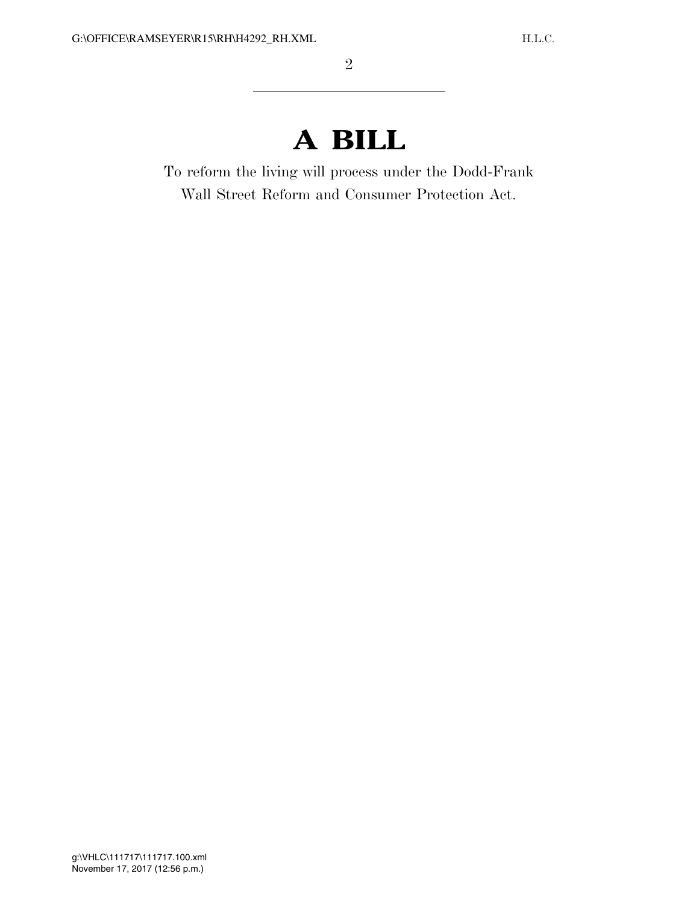## **A BILL**

To reform the living will process under the Dodd-Frank Wall Street Reform and Consumer Protection Act.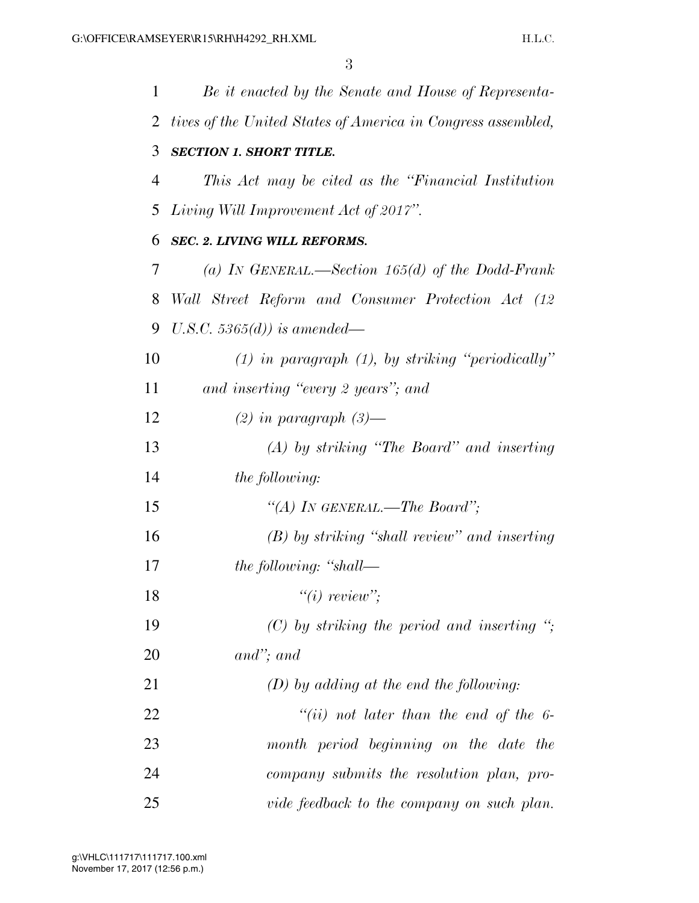| 1  | Be it enacted by the Senate and House of Representa-         |
|----|--------------------------------------------------------------|
| 2  | tives of the United States of America in Congress assembled, |
| 3  | <b>SECTION 1. SHORT TITLE.</b>                               |
| 4  | This Act may be cited as the "Financial Institution"         |
| 5  | Living Will Improvement Act of 2017".                        |
| 6  | <b>SEC. 2. LIVING WILL REFORMS.</b>                          |
| 7  | (a) IN GENERAL.—Section 165(d) of the Dodd-Frank             |
| 8  | Wall Street Reform and Consumer Protection Act (12           |
| 9  | U.S.C. 5365 $(d)$ ) is amended—                              |
| 10 | $(1)$ in paragraph $(1)$ , by striking "periodically"        |
| 11 | and inserting "every 2 years"; and                           |
| 12 | $(2)$ in paragraph $(3)$ —                                   |
| 13 | $(A)$ by striking "The Board" and inserting                  |
| 14 | <i>the following:</i>                                        |
| 15 | "(A) IN GENERAL.—The Board";                                 |
| 16 | (B) by striking "shall review" and inserting                 |
| 17 | the following: "shall—                                       |
| 18 | $"(i)$ review";                                              |
| 19 | $(C)$ by striking the period and inserting ";                |
| 20 | $and$ "; and                                                 |
| 21 | $(D)$ by adding at the end the following:                    |
| 22 | "(ii) not later than the end of the $6$ -                    |
| 23 | month period beginning on the date the                       |
| 24 | company submits the resolution plan, pro-                    |
| 25 | vide feedback to the company on such plan.                   |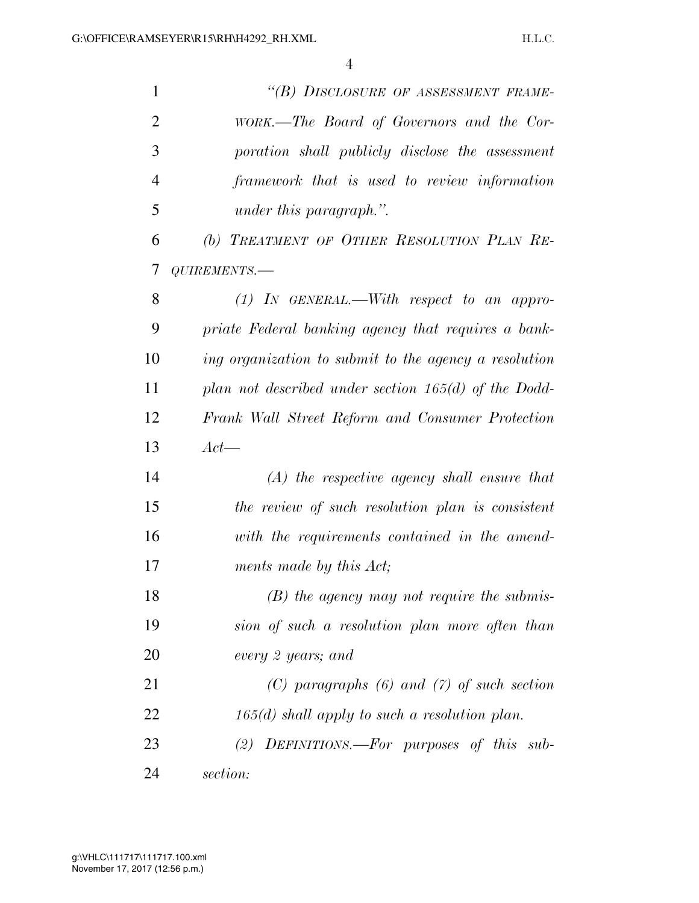| $\mathbf{1}$   | "(B) DISCLOSURE OF ASSESSMENT FRAME-                   |
|----------------|--------------------------------------------------------|
| $\overline{2}$ | WORK.—The Board of Governors and the Cor-              |
| 3              | poration shall publicly disclose the assessment        |
| $\overline{4}$ | framework that is used to review information           |
| 5              | under this paragraph.".                                |
| 6              | (b) TREATMENT OF OTHER RESOLUTION PLAN RE-             |
| 7              | QUIREMENTS.-                                           |
| 8              | $(1)$ IN GENERAL.—With respect to an appro-            |
| 9              | priate Federal banking agency that requires a bank-    |
| 10             | ing organization to submit to the agency a resolution  |
| 11             | plan not described under section $165(d)$ of the Dodd- |
| 12             | Frank Wall Street Reform and Consumer Protection       |
| 13             | $Act-$                                                 |
| 14             | $(A)$ the respective agency shall ensure that          |
| 15             | the review of such resolution plan is consistent       |
| 16             | with the requirements contained in the amend-          |
| 17             | ments made by this Act;                                |
| 18             | $(B)$ the agency may not require the submis-           |
| 19             | sion of such a resolution plan more often than         |
| 20             | every 2 years; and                                     |
| 21             | $(C)$ paragraphs $(6)$ and $(7)$ of such section       |
| 22             | $165(d)$ shall apply to such a resolution plan.        |
| 23             | (2) DEFINITIONS.—For purposes of this sub-             |
| 24             | section:                                               |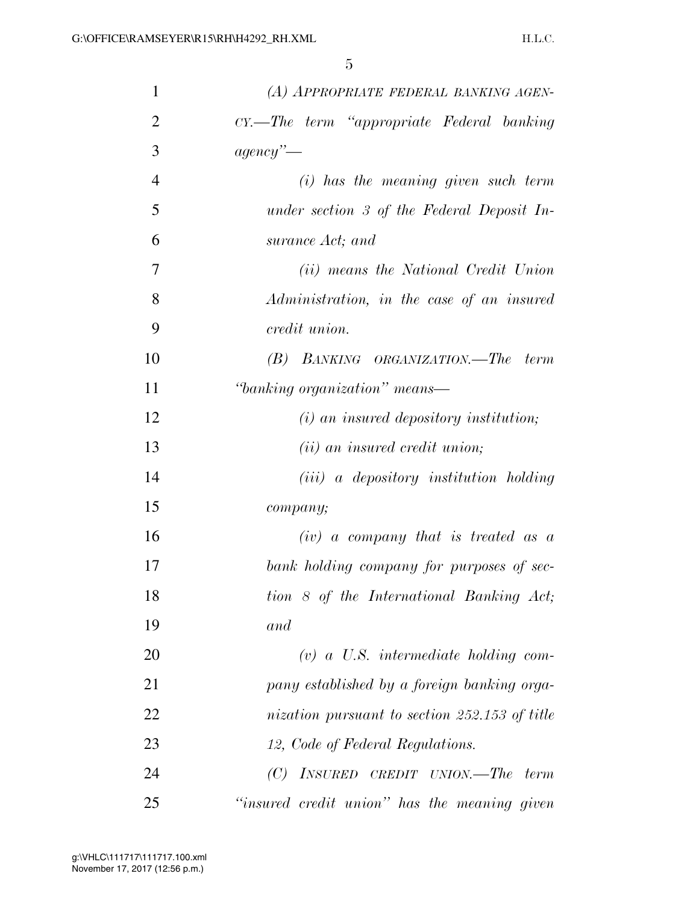| $\mathbf{1}$   | (A) APPROPRIATE FEDERAL BANKING AGEN-         |
|----------------|-----------------------------------------------|
| $\overline{2}$ | CY.—The term "appropriate Federal banking     |
| 3              | agency'                                       |
| $\overline{4}$ | $(i)$ has the meaning given such term         |
| 5              | under section 3 of the Federal Deposit In-    |
| 6              | surance Act; and                              |
| $\overline{7}$ | (ii) means the National Credit Union          |
| 8              | Administration, in the case of an insured     |
| 9              | credit union.                                 |
| 10             | (B) BANKING ORGANIZATION.—The term            |
| 11             | "banking organization" means—                 |
| 12             | $(i)$ an insured depository institution;      |
| 13             | $(ii)$ an insured credit union;               |
| 14             | $(iii)$ a depository institution holding      |
| 15             | company;                                      |
| 16             | $(iv)$ a company that is treated as a         |
| 17             | bank holding company for purposes of sec-     |
| 18             | tion 8 of the International Banking Act;      |
| 19             | and                                           |
| 20             | $(v)$ a U.S. intermediate holding com-        |
| 21             | pany established by a foreign banking orga-   |
| 22             | nization pursuant to section 252.153 of title |
| 23             | 12, Code of Federal Regulations.              |
| 24             | $(C)$ INSURED CREDIT UNION.—The term          |
| 25             | "insured credit union" has the meaning given  |